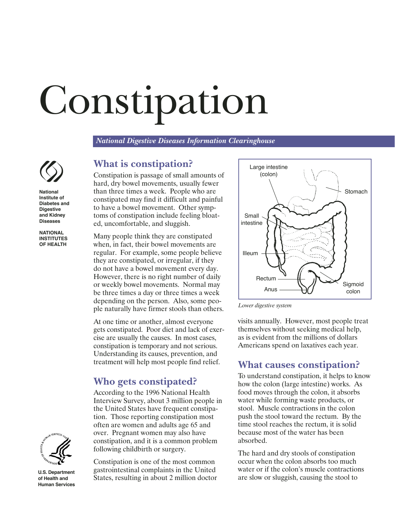# Constipation

*National Digestive Diseases Information Clearinghouse*



**National Institute of Diabetes and Digestive and Kidney Diseases**

**NATIONAL INSTITUTES OF HEALTH**



Constipation is passage of small amounts of hard, dry bowel movements, usually fewer than three times a week. People who are constipated may find it difficult and painful to have a bowel movement. Other symptoms of constipation include feeling bloated, uncomfortable, and sluggish.

Many people think they are constipated when, in fact, their bowel movements are regular. For example, some people believe they are constipated, or irregular, if they do not have a bowel movement every day. However, there is no right number of daily or weekly bowel movements. Normal may be three times a day or three times a week depending on the person. Also, some people naturally have firmer stools than others.

At one time or another, almost everyone gets constipated. Poor diet and lack of exercise are usually the causes. In most cases, constipation is temporary and not serious. Understanding its causes, prevention, and treatment will help most people find relief.

# **Who gets constipated?**

According to the 1996 National Health Interview Survey, about 3 million people in the United States have frequent constipation. Those reporting constipation most often are women and adults age 65 and over. Pregnant women may also have constipation, and it is a common problem following childbirth or surgery.



**U.S. Department of Health and Human Services**

Constipation is one of the most common gastrointestinal complaints in the United States, resulting in about 2 million doctor



*Lower digestive system*

visits annually. However, most people treat themselves without seeking medical help, as is evident from the millions of dollars Americans spend on laxatives each year.

# **What causes constipation?**

To understand constipation, it helps to know how the colon (large intestine) works. As food moves through the colon, it absorbs water while forming waste products, or stool. Muscle contractions in the colon push the stool toward the rectum. By the time stool reaches the rectum, it is solid because most of the water has been absorbed.

The hard and dry stools of constipation occur when the colon absorbs too much water or if the colon's muscle contractions are slow or sluggish, causing the stool to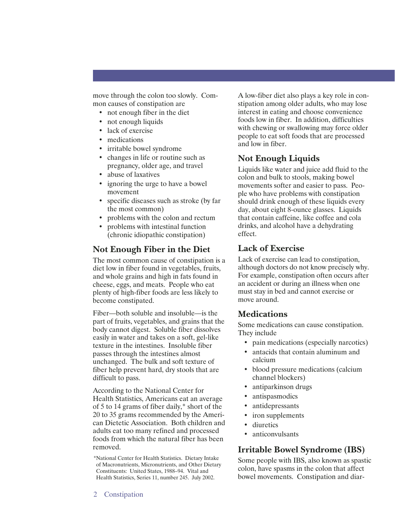move through the colon too slowly. Common causes of constipation are

- not enough fiber in the diet
- not enough liquids
- lack of exercise
- medications
- irritable bowel syndrome
- changes in life or routine such as pregnancy, older age, and travel
- abuse of laxatives
- ignoring the urge to have a bowel movement
- specific diseases such as stroke (by far the most common)
- problems with the colon and rectum
- problems with intestinal function (chronic idiopathic constipation)

## **Not Enough Fiber in the Diet**

The most common cause of constipation is a diet low in fiber found in vegetables, fruits, and whole grains and high in fats found in cheese, eggs, and meats. People who eat plenty of high-fiber foods are less likely to become constipated.

Fiber—both soluble and insoluble—is the part of fruits, vegetables, and grains that the body cannot digest. Soluble fiber dissolves easily in water and takes on a soft, gel-like texture in the intestines. Insoluble fiber passes through the intestines almost unchanged. The bulk and soft texture of fiber help prevent hard, dry stools that are difficult to pass.

According to the National Center for Health Statistics, Americans eat an average of 5 to 14 grams of fiber daily,\* short of the 20 to 35 grams recommended by the American Dietetic Association. Both children and adults eat too many refined and processed foods from which the natural fiber has been removed.

A low-fiber diet also plays a key role in constipation among older adults, who may lose interest in eating and choose convenience foods low in fiber. In addition, difficulties with chewing or swallowing may force older people to eat soft foods that are processed and low in fiber.

# **Not Enough Liquids**

Liquids like water and juice add fluid to the colon and bulk to stools, making bowel movements softer and easier to pass. People who have problems with constipation should drink enough of these liquids every day, about eight 8-ounce glasses. Liquids that contain caffeine, like coffee and cola drinks, and alcohol have a dehydrating effect.

## **Lack of Exercise**

Lack of exercise can lead to constipation, although doctors do not know precisely why. For example, constipation often occurs after an accident or during an illness when one must stay in bed and cannot exercise or move around.

#### **Medications**

Some medications can cause constipation. They include

- pain medications (especially narcotics)
- antacids that contain aluminum and calcium
- blood pressure medications (calcium channel blockers)
- antiparkinson drugs
- antispasmodics
- antidepressants
- iron supplements
- diuretics
- anticonvulsants

## **Irritable Bowel Syndrome (IBS)**

Some people with IBS, also known as spastic colon, have spasms in the colon that affect bowel movements. Constipation and diar-

<sup>\*</sup>National Center for Health Statistics. Dietary Intake of Macronutrients, Micronutrients, and Other Dietary Constituents: United States, 1988–94. Vital and Health Statistics, Series 11, number 245. July 2002.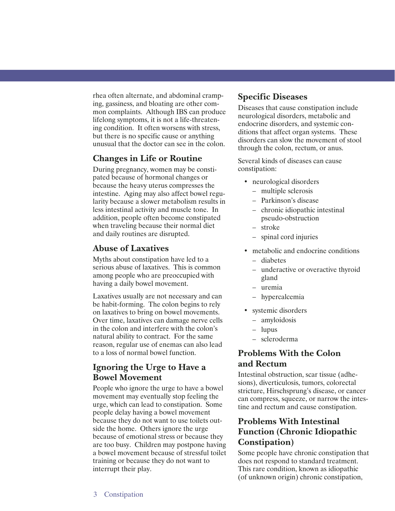rhea often alternate, and abdominal cramping, gassiness, and bloating are other common complaints. Although IBS can produce lifelong symptoms, it is not a life-threatening condition. It often worsens with stress, but there is no specific cause or anything unusual that the doctor can see in the colon.

# **Changes in Life or Routine**

During pregnancy, women may be constipated because of hormonal changes or because the heavy uterus compresses the intestine. Aging may also affect bowel regularity because a slower metabolism results in less intestinal activity and muscle tone. In addition, people often become constipated when traveling because their normal diet and daily routines are disrupted.

## **Abuse of Laxatives**

Myths about constipation have led to a serious abuse of laxatives. This is common among people who are preoccupied with having a daily bowel movement.

Laxatives usually are not necessary and can be habit-forming. The colon begins to rely on laxatives to bring on bowel movements. Over time, laxatives can damage nerve cells in the colon and interfere with the colon's natural ability to contract. For the same reason, regular use of enemas can also lead to a loss of normal bowel function.

# **Ignoring the Urge to Have a Bowel Movement**

People who ignore the urge to have a bowel movement may eventually stop feeling the urge, which can lead to constipation. Some people delay having a bowel movement because they do not want to use toilets outside the home. Others ignore the urge because of emotional stress or because they are too busy. Children may postpone having a bowel movement because of stressful toilet training or because they do not want to interrupt their play.

# **Specific Diseases**

Diseases that cause constipation include neurological disorders, metabolic and endocrine disorders, and systemic conditions that affect organ systems. These disorders can slow the movement of stool through the colon, rectum, or anus.

Several kinds of diseases can cause constipation:

- neurological disorders
	- multiple sclerosis
	- Parkinson's disease
	- chronic idiopathic intestinal pseudo-obstruction
	- stroke
	- spinal cord injuries
- metabolic and endocrine conditions
	- diabetes
	- underactive or overactive thyroid gland
	- uremia
	- hypercalcemia
- systemic disorders
	- amyloidosis
	- lupus
	- scleroderma

# **Problems With the Colon and Rectum**

Intestinal obstruction, scar tissue (adhesions), diverticulosis, tumors, colorectal stricture, Hirschsprung's disease, or cancer can compress, squeeze, or narrow the intestine and rectum and cause constipation.

# **Problems With Intestinal Function (Chronic Idiopathic Constipation)**

Some people have chronic constipation that does not respond to standard treatment. This rare condition, known as idiopathic (of unknown origin) chronic constipation,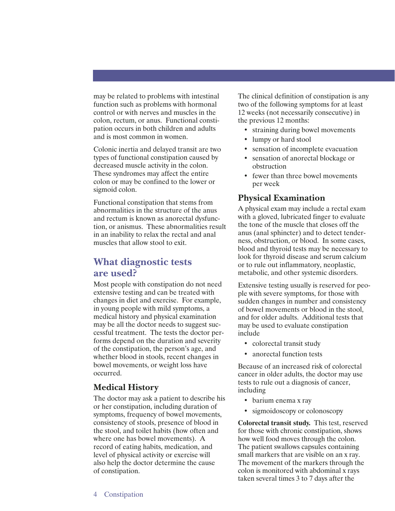may be related to problems with intestinal function such as problems with hormonal control or with nerves and muscles in the colon, rectum, or anus. Functional constipation occurs in both children and adults and is most common in women.

Colonic inertia and delayed transit are two types of functional constipation caused by decreased muscle activity in the colon. These syndromes may affect the entire colon or may be confined to the lower or sigmoid colon.

Functional constipation that stems from abnormalities in the structure of the anus and rectum is known as anorectal dysfunction, or anismus. These abnormalities result in an inability to relax the rectal and anal muscles that allow stool to exit.

## **What diagnostic tests are used?**

Most people with constipation do not need extensive testing and can be treated with changes in diet and exercise. For example, in young people with mild symptoms, a medical history and physical examination may be all the doctor needs to suggest successful treatment. The tests the doctor performs depend on the duration and severity of the constipation, the person's age, and whether blood in stools, recent changes in bowel movements, or weight loss have occurred.

#### **Medical History**

The doctor may ask a patient to describe his or her constipation, including duration of symptoms, frequency of bowel movements, consistency of stools, presence of blood in the stool, and toilet habits (how often and where one has bowel movements). A record of eating habits, medication, and level of physical activity or exercise will also help the doctor determine the cause of constipation.

The clinical definition of constipation is any two of the following symptoms for at least 12 weeks (not necessarily consecutive) in the previous 12 months:

- straining during bowel movements
- lumpy or hard stool
- sensation of incomplete evacuation
- sensation of anorectal blockage or obstruction
- fewer than three bowel movements per week

#### **Physical Examination**

A physical exam may include a rectal exam with a gloved, lubricated finger to evaluate the tone of the muscle that closes off the anus (anal sphincter) and to detect tenderness, obstruction, or blood. In some cases, blood and thyroid tests may be necessary to look for thyroid disease and serum calcium or to rule out inflammatory, neoplastic, metabolic, and other systemic disorders.

Extensive testing usually is reserved for people with severe symptoms, for those with sudden changes in number and consistency of bowel movements or blood in the stool, and for older adults. Additional tests that may be used to evaluate constipation include

- colorectal transit study
- anorectal function tests

Because of an increased risk of colorectal cancer in older adults, the doctor may use tests to rule out a diagnosis of cancer, including

- barium enema x ray
- sigmoidoscopy or colonoscopy

**Colorectal transit study.** This test, reserved for those with chronic constipation, shows how well food moves through the colon. The patient swallows capsules containing small markers that are visible on an x ray. The movement of the markers through the colon is monitored with abdominal x rays taken several times 3 to 7 days after the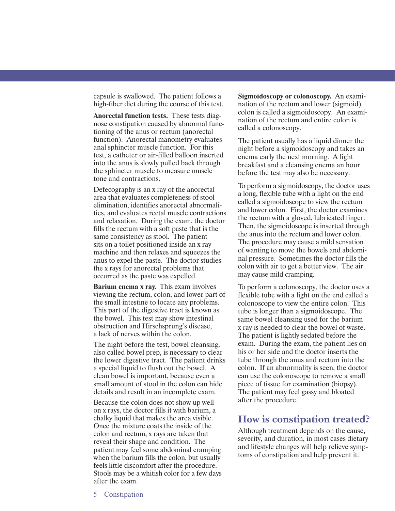capsule is swallowed. The patient follows a high-fiber diet during the course of this test.

**Anorectal function tests.** These tests diagnose constipation caused by abnormal functioning of the anus or rectum (anorectal function). Anorectal manometry evaluates anal sphincter muscle function. For this test, a catheter or air-filled balloon inserted into the anus is slowly pulled back through the sphincter muscle to measure muscle tone and contractions.

Defecography is an x ray of the anorectal area that evaluates completeness of stool elimination, identifies anorectal abnormalities, and evaluates rectal muscle contractions and relaxation. During the exam, the doctor fills the rectum with a soft paste that is the same consistency as stool. The patient sits on a toilet positioned inside an x ray machine and then relaxes and squeezes the anus to expel the paste. The doctor studies the x rays for anorectal problems that occurred as the paste was expelled.

**Barium enema x ray.** This exam involves viewing the rectum, colon, and lower part of the small intestine to locate any problems. This part of the digestive tract is known as the bowel. This test may show intestinal obstruction and Hirschsprung's disease, a lack of nerves within the colon.

The night before the test, bowel cleansing, also called bowel prep, is necessary to clear the lower digestive tract. The patient drinks a special liquid to flush out the bowel. A clean bowel is important, because even a small amount of stool in the colon can hide details and result in an incomplete exam.

Because the colon does not show up well on x rays, the doctor fills it with barium, a chalky liquid that makes the area visible. Once the mixture coats the inside of the colon and rectum, x rays are taken that reveal their shape and condition. The patient may feel some abdominal cramping when the barium fills the colon, but usually feels little discomfort after the procedure. Stools may be a whitish color for a few days after the exam.

**Sigmoidoscopy or colonoscopy.** An examination of the rectum and lower (sigmoid) colon is called a sigmoidoscopy. An examination of the rectum and entire colon is called a colonoscopy.

The patient usually has a liquid dinner the night before a sigmoidoscopy and takes an enema early the next morning. A light breakfast and a cleansing enema an hour before the test may also be necessary.

To perform a sigmoidoscopy, the doctor uses a long, flexible tube with a light on the end called a sigmoidoscope to view the rectum and lower colon. First, the doctor examines the rectum with a gloved, lubricated finger. Then, the sigmoidoscope is inserted through the anus into the rectum and lower colon. The procedure may cause a mild sensation of wanting to move the bowels and abdominal pressure. Sometimes the doctor fills the colon with air to get a better view. The air may cause mild cramping.

To perform a colonoscopy, the doctor uses a flexible tube with a light on the end called a colonoscope to view the entire colon. This tube is longer than a sigmoidoscope. The same bowel cleansing used for the barium x ray is needed to clear the bowel of waste. The patient is lightly sedated before the exam. During the exam, the patient lies on his or her side and the doctor inserts the tube through the anus and rectum into the colon. If an abnormality is seen, the doctor can use the colonoscope to remove a small piece of tissue for examination (biopsy). The patient may feel gassy and bloated after the procedure.

## **How is constipation treated?**

Although treatment depends on the cause, severity, and duration, in most cases dietary and lifestyle changes will help relieve symptoms of constipation and help prevent it.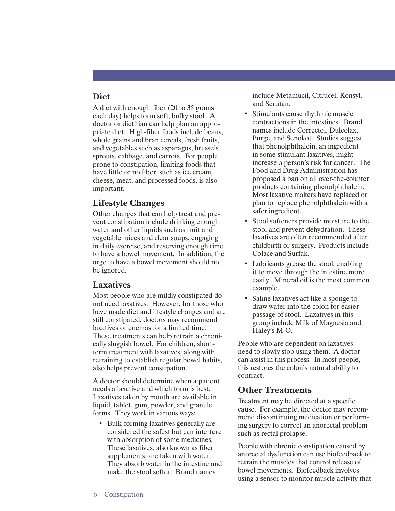#### **Diet**

A diet with enough fiber (20 to 35 grams each day) helps form soft, bulky stool. A doctor or dietitian can help plan an appropriate diet. High-fiber foods include beans, whole grains and bran cereals, fresh fruits, and vegetables such as asparagus, brussels sprouts, cabbage, and carrots. For people prone to constipation, limiting foods that have little or no fiber, such as ice cream, cheese, meat, and processed foods, is also important.

#### **Lifestyle Changes**

Other changes that can help treat and prevent constipation include drinking enough water and other liquids such as fruit and vegetable juices and clear soups, engaging in daily exercise, and reserving enough time to have a bowel movement. In addition, the urge to have a bowel movement should not be ignored.

#### **Laxatives**

Most people who are mildly constipated do not need laxatives. However, for those who have made diet and lifestyle changes and are still constipated, doctors may recommend laxatives or enemas for a limited time. These treatments can help retrain a chronically sluggish bowel. For children, shortterm treatment with laxatives, along with retraining to establish regular bowel habits, also helps prevent constipation.

A doctor should determine when a patient needs a laxative and which form is best. Laxatives taken by mouth are available in liquid, tablet, gum, powder, and granule forms. They work in various ways:

• Bulk-forming laxatives generally are considered the safest but can interfere with absorption of some medicines. These laxatives, also known as fiber supplements, are taken with water. They absorb water in the intestine and make the stool softer. Brand names

include Metamucil, Citrucel, Konsyl, and Serutan.

- Stimulants cause rhythmic muscle contractions in the intestines. Brand names include Correctol, Dulcolax, Purge, and Senokot. Studies suggest that phenolphthalein, an ingredient in some stimulant laxatives, might increase a person's risk for cancer. The Food and Drug Administration has proposed a ban on all over-the-counter products containing phenolphthalein. Most laxative makers have replaced or plan to replace phenolphthalein with a safer ingredient.
- Stool softeners provide moisture to the stool and prevent dehydration. These laxatives are often recommended after childbirth or surgery. Products include Colace and Surfak.
- Lubricants grease the stool, enabling it to move through the intestine more easily. Mineral oil is the most common example.
- Saline laxatives act like a sponge to draw water into the colon for easier passage of stool. Laxatives in this group include Milk of Magnesia and Haley's M-O.

People who are dependent on laxatives need to slowly stop using them. A doctor can assist in this process. In most people, this restores the colon's natural ability to contract.

## **Other Treatments**

Treatment may be directed at a specific cause. For example, the doctor may recommend discontinuing medication or performing surgery to correct an anorectal problem such as rectal prolapse.

People with chronic constipation caused by anorectal dysfunction can use biofeedback to retrain the muscles that control release of bowel movements. Biofeedback involves using a sensor to monitor muscle activity that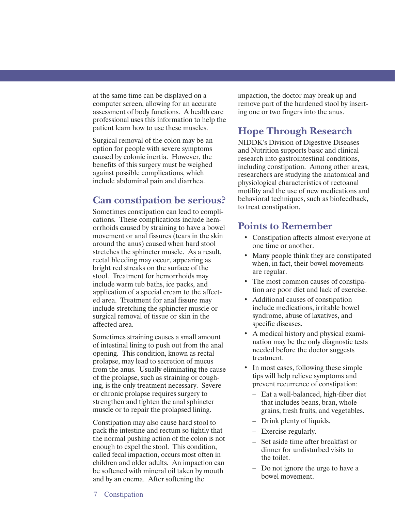at the same time can be displayed on a computer screen, allowing for an accurate assessment of body functions. A health care professional uses this information to help the patient learn how to use these muscles.

Surgical removal of the colon may be an option for people with severe symptoms caused by colonic inertia. However, the benefits of this surgery must be weighed against possible complications, which include abdominal pain and diarrhea.

# **Can constipation be serious?**

Sometimes constipation can lead to complications. These complications include hemorrhoids caused by straining to have a bowel movement or anal fissures (tears in the skin around the anus) caused when hard stool stretches the sphincter muscle. As a result, rectal bleeding may occur, appearing as bright red streaks on the surface of the stool. Treatment for hemorrhoids may include warm tub baths, ice packs, and application of a special cream to the affected area. Treatment for anal fissure may include stretching the sphincter muscle or surgical removal of tissue or skin in the affected area.

Sometimes straining causes a small amount of intestinal lining to push out from the anal opening. This condition, known as rectal prolapse, may lead to secretion of mucus from the anus. Usually eliminating the cause of the prolapse, such as straining or coughing, is the only treatment necessary. Severe or chronic prolapse requires surgery to strengthen and tighten the anal sphincter muscle or to repair the prolapsed lining.

Constipation may also cause hard stool to pack the intestine and rectum so tightly that the normal pushing action of the colon is not enough to expel the stool. This condition, called fecal impaction, occurs most often in children and older adults. An impaction can be softened with mineral oil taken by mouth and by an enema. After softening the

impaction, the doctor may break up and remove part of the hardened stool by inserting one or two fingers into the anus.

# **Hope Through Research**

NIDDK's Division of Digestive Diseases and Nutrition supports basic and clinical research into gastrointestinal conditions, including constipation. Among other areas, researchers are studying the anatomical and physiological characteristics of rectoanal motility and the use of new medications and behavioral techniques, such as biofeedback, to treat constipation.

# **Points to Remember**

- Constipation affects almost everyone at one time or another.
- Many people think they are constipated when, in fact, their bowel movements are regular.
- The most common causes of constipation are poor diet and lack of exercise.
- Additional causes of constipation include medications, irritable bowel syndrome, abuse of laxatives, and specific diseases.
- A medical history and physical examination may be the only diagnostic tests needed before the doctor suggests treatment.
- In most cases, following these simple tips will help relieve symptoms and prevent recurrence of constipation:
	- Eat a well-balanced, high-fiber diet that includes beans, bran, whole grains, fresh fruits, and vegetables.
	- Drink plenty of liquids.
	- Exercise regularly.
	- Set aside time after breakfast or dinner for undisturbed visits to the toilet.
	- Do not ignore the urge to have a bowel movement.